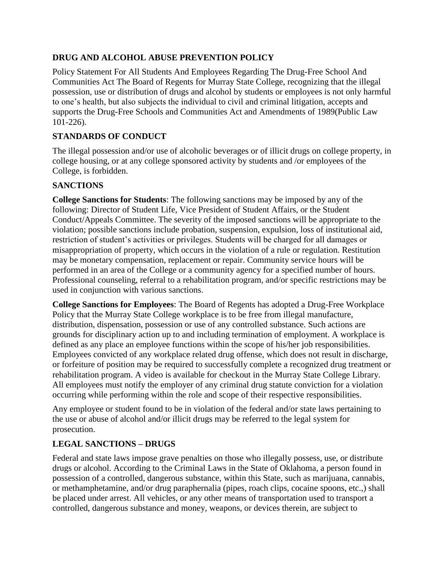# **DRUG AND ALCOHOL ABUSE PREVENTION POLICY**

Policy Statement For All Students And Employees Regarding The Drug-Free School And Communities Act The Board of Regents for Murray State College, recognizing that the illegal possession, use or distribution of drugs and alcohol by students or employees is not only harmful to one's health, but also subjects the individual to civil and criminal litigation, accepts and supports the Drug-Free Schools and Communities Act and Amendments of 1989(Public Law 101-226).

# **STANDARDS OF CONDUCT**

The illegal possession and/or use of alcoholic beverages or of illicit drugs on college property, in college housing, or at any college sponsored activity by students and /or employees of the College, is forbidden.

# **SANCTIONS**

**College Sanctions for Students**: The following sanctions may be imposed by any of the following: Director of Student Life, Vice President of Student Affairs, or the Student Conduct/Appeals Committee. The severity of the imposed sanctions will be appropriate to the violation; possible sanctions include probation, suspension, expulsion, loss of institutional aid, restriction of student's activities or privileges. Students will be charged for all damages or misappropriation of property, which occurs in the violation of a rule or regulation. Restitution may be monetary compensation, replacement or repair. Community service hours will be performed in an area of the College or a community agency for a specified number of hours. Professional counseling, referral to a rehabilitation program, and/or specific restrictions may be used in conjunction with various sanctions.

**College Sanctions for Employees**: The Board of Regents has adopted a Drug-Free Workplace Policy that the Murray State College workplace is to be free from illegal manufacture, distribution, dispensation, possession or use of any controlled substance. Such actions are grounds for disciplinary action up to and including termination of employment. A workplace is defined as any place an employee functions within the scope of his/her job responsibilities. Employees convicted of any workplace related drug offense, which does not result in discharge, or forfeiture of position may be required to successfully complete a recognized drug treatment or rehabilitation program. A video is available for checkout in the Murray State College Library. All employees must notify the employer of any criminal drug statute conviction for a violation occurring while performing within the role and scope of their respective responsibilities.

Any employee or student found to be in violation of the federal and/or state laws pertaining to the use or abuse of alcohol and/or illicit drugs may be referred to the legal system for prosecution.

## **LEGAL SANCTIONS – DRUGS**

Federal and state laws impose grave penalties on those who illegally possess, use, or distribute drugs or alcohol. According to the Criminal Laws in the State of Oklahoma, a person found in possession of a controlled, dangerous substance, within this State, such as marijuana, cannabis, or methamphetamine, and/or drug paraphernalia (pipes, roach clips, cocaine spoons, etc.,) shall be placed under arrest. All vehicles, or any other means of transportation used to transport a controlled, dangerous substance and money, weapons, or devices therein, are subject to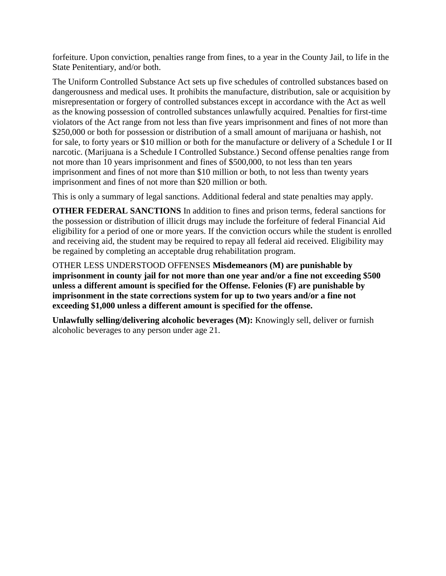forfeiture. Upon conviction, penalties range from fines, to a year in the County Jail, to life in the State Penitentiary, and/or both.

The Uniform Controlled Substance Act sets up five schedules of controlled substances based on dangerousness and medical uses. It prohibits the manufacture, distribution, sale or acquisition by misrepresentation or forgery of controlled substances except in accordance with the Act as well as the knowing possession of controlled substances unlawfully acquired. Penalties for first-time violators of the Act range from not less than five years imprisonment and fines of not more than \$250,000 or both for possession or distribution of a small amount of marijuana or hashish, not for sale, to forty years or \$10 million or both for the manufacture or delivery of a Schedule I or II narcotic. (Marijuana is a Schedule I Controlled Substance.) Second offense penalties range from not more than 10 years imprisonment and fines of \$500,000, to not less than ten years imprisonment and fines of not more than \$10 million or both, to not less than twenty years imprisonment and fines of not more than \$20 million or both.

This is only a summary of legal sanctions. Additional federal and state penalties may apply.

**OTHER FEDERAL SANCTIONS** In addition to fines and prison terms, federal sanctions for the possession or distribution of illicit drugs may include the forfeiture of federal Financial Aid eligibility for a period of one or more years. If the conviction occurs while the student is enrolled and receiving aid, the student may be required to repay all federal aid received. Eligibility may be regained by completing an acceptable drug rehabilitation program.

OTHER LESS UNDERSTOOD OFFENSES **Misdemeanors (M) are punishable by imprisonment in county jail for not more than one year and/or a fine not exceeding \$500 unless a different amount is specified for the Offense. Felonies (F) are punishable by imprisonment in the state corrections system for up to two years and/or a fine not exceeding \$1,000 unless a different amount is specified for the offense.** 

**Unlawfully selling/delivering alcoholic beverages (M):** Knowingly sell, deliver or furnish alcoholic beverages to any person under age 21.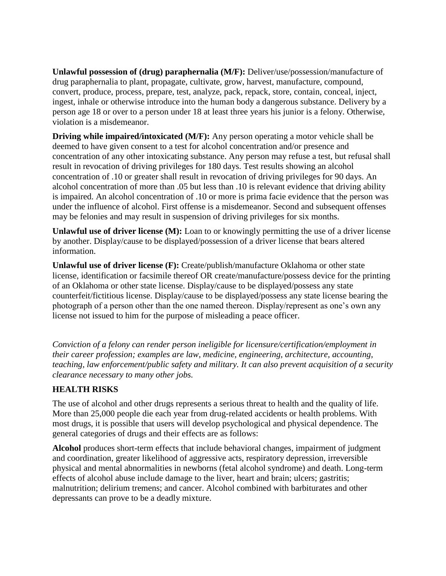**Unlawful possession of (drug) paraphernalia (M/F):** Deliver/use/possession/manufacture of drug paraphernalia to plant, propagate, cultivate, grow, harvest, manufacture, compound, convert, produce, process, prepare, test, analyze, pack, repack, store, contain, conceal, inject, ingest, inhale or otherwise introduce into the human body a dangerous substance. Delivery by a person age 18 or over to a person under 18 at least three years his junior is a felony. Otherwise, violation is a misdemeanor.

**Driving while impaired/intoxicated (M/F):** Any person operating a motor vehicle shall be deemed to have given consent to a test for alcohol concentration and/or presence and concentration of any other intoxicating substance. Any person may refuse a test, but refusal shall result in revocation of driving privileges for 180 days. Test results showing an alcohol concentration of .10 or greater shall result in revocation of driving privileges for 90 days. An alcohol concentration of more than .05 but less than .10 is relevant evidence that driving ability is impaired. An alcohol concentration of .10 or more is prima facie evidence that the person was under the influence of alcohol. First offense is a misdemeanor. Second and subsequent offenses may be felonies and may result in suspension of driving privileges for six months.

**Unlawful use of driver license (M):** Loan to or knowingly permitting the use of a driver license by another. Display/cause to be displayed/possession of a driver license that bears altered information.

**Unlawful use of driver license (F):** Create/publish/manufacture Oklahoma or other state license, identification or facsimile thereof OR create/manufacture/possess device for the printing of an Oklahoma or other state license. Display/cause to be displayed/possess any state counterfeit/fictitious license. Display/cause to be displayed/possess any state license bearing the photograph of a person other than the one named thereon. Display/represent as one's own any license not issued to him for the purpose of misleading a peace officer.

*Conviction of a felony can render person ineligible for licensure/certification/employment in their career profession; examples are law, medicine, engineering, architecture, accounting, teaching, law enforcement/public safety and military. It can also prevent acquisition of a security clearance necessary to many other jobs.* 

## **HEALTH RISKS**

The use of alcohol and other drugs represents a serious threat to health and the quality of life. More than 25,000 people die each year from drug-related accidents or health problems. With most drugs, it is possible that users will develop psychological and physical dependence. The general categories of drugs and their effects are as follows:

**Alcohol** produces short-term effects that include behavioral changes, impairment of judgment and coordination, greater likelihood of aggressive acts, respiratory depression, irreversible physical and mental abnormalities in newborns (fetal alcohol syndrome) and death. Long-term effects of alcohol abuse include damage to the liver, heart and brain; ulcers; gastritis; malnutrition; delirium tremens; and cancer. Alcohol combined with barbiturates and other depressants can prove to be a deadly mixture.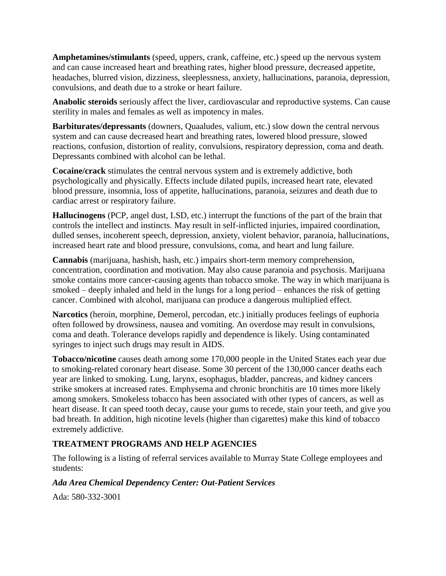**Amphetamines/stimulants** (speed, uppers, crank, caffeine, etc.) speed up the nervous system and can cause increased heart and breathing rates, higher blood pressure, decreased appetite, headaches, blurred vision, dizziness, sleeplessness, anxiety, hallucinations, paranoia, depression, convulsions, and death due to a stroke or heart failure.

**Anabolic steroids** seriously affect the liver, cardiovascular and reproductive systems. Can cause sterility in males and females as well as impotency in males.

**Barbiturates/depressants** (downers, Quaaludes, valium, etc.) slow down the central nervous system and can cause decreased heart and breathing rates, lowered blood pressure, slowed reactions, confusion, distortion of reality, convulsions, respiratory depression, coma and death. Depressants combined with alcohol can be lethal.

**Cocaine/crack** stimulates the central nervous system and is extremely addictive, both psychologically and physically. Effects include dilated pupils, increased heart rate, elevated blood pressure, insomnia, loss of appetite, hallucinations, paranoia, seizures and death due to cardiac arrest or respiratory failure.

**Hallucinogens** (PCP, angel dust, LSD, etc.) interrupt the functions of the part of the brain that controls the intellect and instincts. May result in self-inflicted injuries, impaired coordination, dulled senses, incoherent speech, depression, anxiety, violent behavior, paranoia, hallucinations, increased heart rate and blood pressure, convulsions, coma, and heart and lung failure.

**Cannabis** (marijuana, hashish, hash, etc.) impairs short-term memory comprehension, concentration, coordination and motivation. May also cause paranoia and psychosis. Marijuana smoke contains more cancer-causing agents than tobacco smoke. The way in which marijuana is smoked – deeply inhaled and held in the lungs for a long period – enhances the risk of getting cancer. Combined with alcohol, marijuana can produce a dangerous multiplied effect.

**Narcotics** (heroin, morphine, Demerol, percodan, etc.) initially produces feelings of euphoria often followed by drowsiness, nausea and vomiting. An overdose may result in convulsions, coma and death. Tolerance develops rapidly and dependence is likely. Using contaminated syringes to inject such drugs may result in AIDS.

**Tobacco/nicotine** causes death among some 170,000 people in the United States each year due to smoking-related coronary heart disease. Some 30 percent of the 130,000 cancer deaths each year are linked to smoking. Lung, larynx, esophagus, bladder, pancreas, and kidney cancers strike smokers at increased rates. Emphysema and chronic bronchitis are 10 times more likely among smokers. Smokeless tobacco has been associated with other types of cancers, as well as heart disease. It can speed tooth decay, cause your gums to recede, stain your teeth, and give you bad breath. In addition, high nicotine levels (higher than cigarettes) make this kind of tobacco extremely addictive.

# **TREATMENT PROGRAMS AND HELP AGENCIES**

The following is a listing of referral services available to Murray State College employees and students:

# *Ada Area Chemical Dependency Center: Out-Patient Services*

Ada: 580-332-3001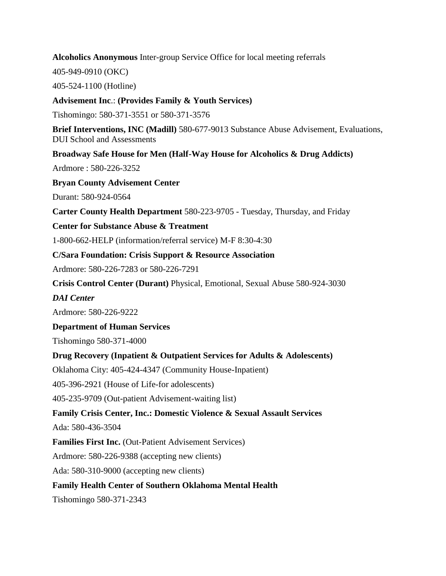**Alcoholics Anonymous** Inter-group Service Office for local meeting referrals

405-949-0910 (OKC)

405-524-1100 (Hotline)

**Advisement Inc**.: **(Provides Family & Youth Services)** 

Tishomingo: 580-371-3551 or 580-371-3576

**Brief Interventions, INC (Madill)** 580-677-9013 Substance Abuse Advisement, Evaluations, DUI School and Assessments

**Broadway Safe House for Men (Half-Way House for Alcoholics & Drug Addicts)** 

Ardmore : 580-226-3252

**Bryan County Advisement Center** 

Durant: 580-924-0564

**Carter County Health Department** 580-223-9705 - Tuesday, Thursday, and Friday

**Center for Substance Abuse & Treatment** 

1-800-662-HELP (information/referral service) M-F 8:30-4:30

**C/Sara Foundation: Crisis Support & Resource Association** 

Ardmore: 580-226-7283 or 580-226-7291

**Crisis Control Center (Durant)** Physical, Emotional, Sexual Abuse 580-924-3030

*DAI Center* 

Ardmore: 580-226-9222

**Department of Human Services** 

Tishomingo 580-371-4000

**Drug Recovery (Inpatient & Outpatient Services for Adults & Adolescents)** 

Oklahoma City: 405-424-4347 (Community House-Inpatient)

405-396-2921 (House of Life-for adolescents)

405-235-9709 (Out-patient Advisement-waiting list)

**Family Crisis Center, Inc.: Domestic Violence & Sexual Assault Services** 

Ada: 580-436-3504

**Families First Inc.** (Out-Patient Advisement Services)

Ardmore: 580-226-9388 (accepting new clients)

Ada: 580-310-9000 (accepting new clients)

**Family Health Center of Southern Oklahoma Mental Health** 

Tishomingo 580-371-2343